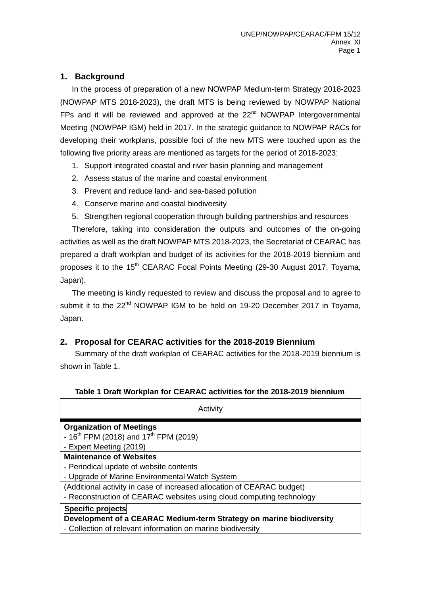### **1. Background**

In the process of preparation of a new NOWPAP Medium-term Strategy 2018-2023 (NOWPAP MTS 2018-2023), the draft MTS is being reviewed by NOWPAP National FPs and it will be reviewed and approved at the  $22<sup>nd</sup>$  NOWPAP Intergovernmental Meeting (NOWPAP IGM) held in 2017. In the strategic guidance to NOWPAP RACs for developing their workplans, possible foci of the new MTS were touched upon as the following five priority areas are mentioned as targets for the period of 2018-2023:

- 1. Support integrated coastal and river basin planning and management
- 2. Assess status of the marine and coastal environment
- 3. Prevent and reduce land- and sea-based pollution
- 4. Conserve marine and coastal biodiversity
- 5. Strengthen regional cooperation through building partnerships and resources

Therefore, taking into consideration the outputs and outcomes of the on-going activities as well as the draft NOWPAP MTS 2018-2023, the Secretariat of CEARAC has prepared a draft workplan and budget of its activities for the 2018-2019 biennium and proposes it to the 15<sup>th</sup> CEARAC Focal Points Meeting (29-30 August 2017, Toyama, Japan).

The meeting is kindly requested to review and discuss the proposal and to agree to submit it to the 22<sup>nd</sup> NOWPAP IGM to be held on 19-20 December 2017 in Toyama, Japan.

## **2. Proposal for CEARAC activities for the 2018-2019 Biennium**

Summary of the draft workplan of CEARAC activities for the 2018-2019 biennium is shown in Table 1.

| Activity                                                                           |
|------------------------------------------------------------------------------------|
| <b>Organization of Meetings</b><br>- $16^{th}$ FPM (2018) and $17^{th}$ FPM (2019) |
| - Expert Meeting (2019)                                                            |
| <b>Maintenance of Websites</b>                                                     |
| - Periodical update of website contents                                            |
| - Upgrade of Marine Environmental Watch System                                     |
| (Additional activity in case of increased allocation of CEARAC budget)             |
| - Reconstruction of CEARAC websites using cloud computing technology               |
| Specific projects                                                                  |
| Development of a CEARAC Medium-term Strategy on marine biodiversity                |
| - Collection of relevant information on marine biodiversity                        |

#### **Table 1 Draft Workplan for CEARAC activities for the 2018-2019 biennium**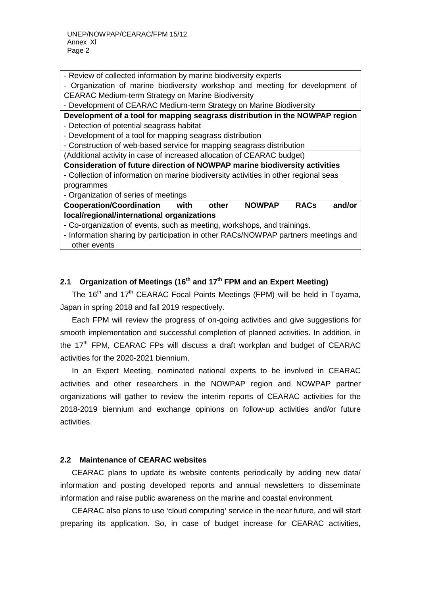- Review of collected information by marine biodiversity experts - Organization of marine biodiversity workshop and meeting for development of CEARAC Medium-term Strategy on Marine Biodiversity - Development of CEARAC Medium-term Strategy on Marine Biodiversity **Development of a tool for mapping seagrass distribution in the NOWPAP region** - Detection of potential seagrass habitat - Development of a tool for mapping seagrass distribution - Construction of web-based service for mapping seagrass distribution (Additional activity in case of increased allocation of CEARAC budget) **Consideration of future direction of NOWPAP marine biodiversity activities** - Collection of information on marine biodiversity activities in other regional seas programmes - Organization of series of meetings **Cooperation/Coordination with other NOWPAP RACs and/or local/regional/international organizations** - Co-organization of events, such as meeting, workshops, and trainings. - Information sharing by participation in other RACs/NOWPAP partners meetings and other events

#### **2.1 Organization of Meetings (16th and 17th FPM and an Expert Meeting)**

The 16<sup>th</sup> and 17<sup>th</sup> CEARAC Focal Points Meetings (FPM) will be held in Toyama, Japan in spring 2018 and fall 2019 respectively.

Each FPM will review the progress of on-going activities and give suggestions for smooth implementation and successful completion of planned activities. In addition, in the 17<sup>th</sup> FPM, CEARAC FPs will discuss a draft workplan and budget of CEARAC activities for the 2020-2021 biennium.

In an Expert Meeting, nominated national experts to be involved in CEARAC activities and other researchers in the NOWPAP region and NOWPAP partner organizations will gather to review the interim reports of CEARAC activities for the 2018-2019 biennium and exchange opinions on follow-up activities and/or future activities.

#### **2.2 Maintenance of CEARAC websites**

CEARAC plans to update its website contents periodically by adding new data/ information and posting developed reports and annual newsletters to disseminate information and raise public awareness on the marine and coastal environment.

CEARAC also plans to use 'cloud computing' service in the near future, and will start preparing its application. So, in case of budget increase for CEARAC activities,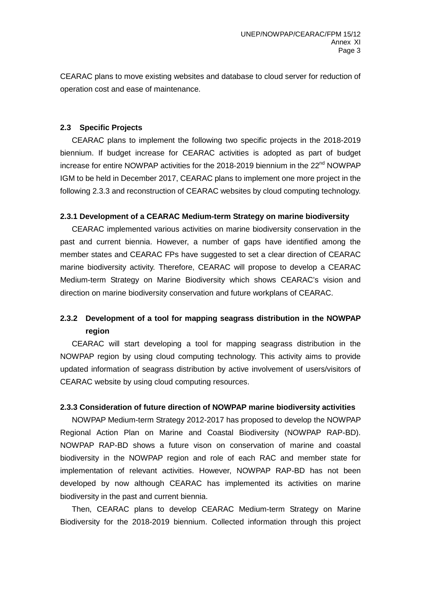CEARAC plans to move existing websites and database to cloud server for reduction of operation cost and ease of maintenance.

#### **2.3 Specific Projects**

CEARAC plans to implement the following two specific projects in the 2018-2019 biennium. If budget increase for CEARAC activities is adopted as part of budget increase for entire NOWPAP activities for the 2018-2019 biennium in the 22<sup>nd</sup> NOWPAP IGM to be held in December 2017, CEARAC plans to implement one more project in the following 2.3.3 and reconstruction of CEARAC websites by cloud computing technology.

#### **2.3.1 Development of a CEARAC Medium-term Strategy on marine biodiversity**

CEARAC implemented various activities on marine biodiversity conservation in the past and current biennia. However, a number of gaps have identified among the member states and CEARAC FPs have suggested to set a clear direction of CEARAC marine biodiversity activity. Therefore, CEARAC will propose to develop a CEARAC Medium-term Strategy on Marine Biodiversity which shows CEARAC's vision and direction on marine biodiversity conservation and future workplans of CEARAC.

# **2.3.2 Development of a tool for mapping seagrass distribution in the NOWPAP region**

CEARAC will start developing a tool for mapping seagrass distribution in the NOWPAP region by using cloud computing technology. This activity aims to provide updated information of seagrass distribution by active involvement of users/visitors of CEARAC website by using cloud computing resources.

#### **2.3.3 Consideration of future direction of NOWPAP marine biodiversity activities**

NOWPAP Medium-term Strategy 2012-2017 has proposed to develop the NOWPAP Regional Action Plan on Marine and Coastal Biodiversity (NOWPAP RAP-BD). NOWPAP RAP-BD shows a future vison on conservation of marine and coastal biodiversity in the NOWPAP region and role of each RAC and member state for implementation of relevant activities. However, NOWPAP RAP-BD has not been developed by now although CEARAC has implemented its activities on marine biodiversity in the past and current biennia.

Then, CEARAC plans to develop CEARAC Medium-term Strategy on Marine Biodiversity for the 2018-2019 biennium. Collected information through this project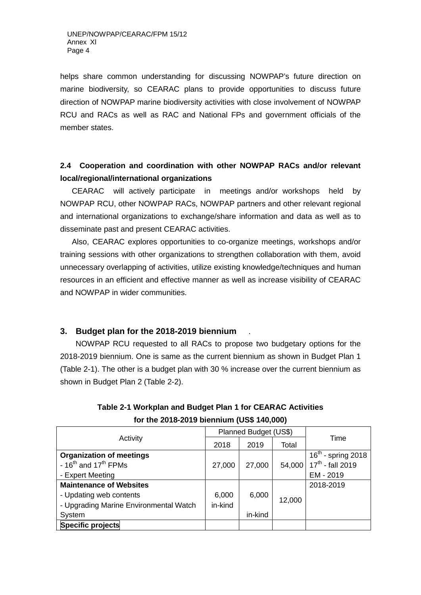helps share common understanding for discussing NOWPAP's future direction on marine biodiversity, so CEARAC plans to provide opportunities to discuss future direction of NOWPAP marine biodiversity activities with close involvement of NOWPAP RCU and RACs as well as RAC and National FPs and government officials of the member states.

## **2.4 Cooperation and coordination with other NOWPAP RACs and/or relevant local/regional/international organizations**

CEARAC will actively participate in meetings and/or workshops held by NOWPAP RCU, other NOWPAP RACs, NOWPAP partners and other relevant regional and international organizations to exchange/share information and data as well as to disseminate past and present CEARAC activities.

Also, CEARAC explores opportunities to co-organize meetings, workshops and/or training sessions with other organizations to strengthen collaboration with them, avoid unnecessary overlapping of activities, utilize existing knowledge/techniques and human resources in an efficient and effective manner as well as increase visibility of CEARAC and NOWPAP in wider communities.

#### **3. Budget plan for the 2018-2019 biennium** .

NOWPAP RCU requested to all RACs to propose two budgetary options for the 2018-2019 biennium. One is same as the current biennium as shown in Budget Plan 1 (Table 2-1). The other is a budget plan with 30 % increase over the current biennium as shown in Budget Plan 2 (Table 2-2).

|                                        | Planned Budget (US\$) |         |        |                       |
|----------------------------------------|-----------------------|---------|--------|-----------------------|
| Activity                               | 2018                  | 2019    | Total  | Time                  |
| <b>Organization of meetings</b>        |                       |         |        | $16th$ - spring 2018  |
| - $16^{th}$ and $17^{th}$ FPMs         | 27,000                | 27,000  | 54,000 | $17^{th}$ - fall 2019 |
| - Expert Meeting                       |                       |         |        | EM - 2019             |
| <b>Maintenance of Websites</b>         |                       |         |        | 2018-2019             |
| - Updating web contents                | 6,000                 | 6,000   | 12,000 |                       |
| - Upgrading Marine Environmental Watch | in-kind               |         |        |                       |
| System                                 |                       | in-kind |        |                       |
| <b>Specific projects</b>               |                       |         |        |                       |

**Table 2-1 Workplan and Budget Plan 1 for CEARAC Activities for the 2018-2019 biennium (US\$ 140,000)**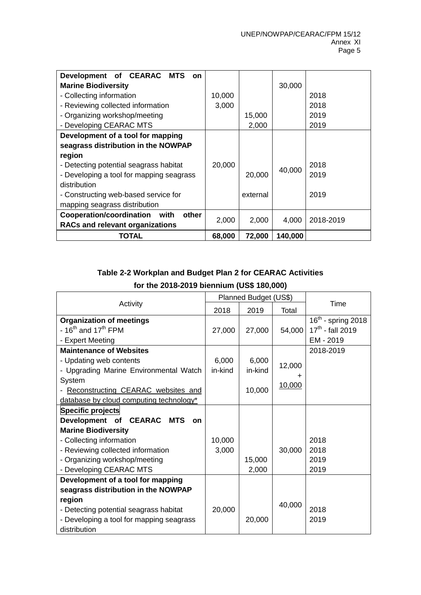| Development of CEARAC<br>MTS<br><b>on</b> |        |          |         |           |
|-------------------------------------------|--------|----------|---------|-----------|
| <b>Marine Biodiversity</b>                |        |          | 30,000  |           |
| - Collecting information                  | 10,000 |          |         | 2018      |
| - Reviewing collected information         | 3,000  |          |         | 2018      |
| - Organizing workshop/meeting             |        | 15,000   |         | 2019      |
| - Developing CEARAC MTS                   |        | 2,000    |         | 2019      |
| Development of a tool for mapping         |        |          |         |           |
| seagrass distribution in the NOWPAP       |        |          |         |           |
| region                                    |        |          |         |           |
| - Detecting potential seagrass habitat    | 20,000 |          | 40,000  | 2018      |
| - Developing a tool for mapping seagrass  |        | 20,000   |         | 2019      |
| distribution                              |        |          |         |           |
| - Constructing web-based service for      |        | external |         | 2019      |
| mapping seagrass distribution             |        |          |         |           |
| Cooperation/coordination<br>with<br>other | 2,000  |          |         |           |
| <b>RACs and relevant organizations</b>    |        | 2,000    | 4,000   | 2018-2019 |
| TOTAL                                     | 68,000 | 72,000   | 140,000 |           |

# **Table 2-2 Workplan and Budget Plan 2 for CEARAC Activities for the 2018-2019 biennium (US\$ 180,000)**

|                                           | Planned Budget (US\$) |         |        |                       |
|-------------------------------------------|-----------------------|---------|--------|-----------------------|
| Activity                                  | 2018                  | 2019    | Total  | Time                  |
| <b>Organization of meetings</b>           |                       |         |        | $16th$ - spring 2018  |
| - $16^{th}$ and $17^{th}$ FPM             | 27,000                | 27,000  | 54,000 | $17^{th}$ - fall 2019 |
| - Expert Meeting                          |                       |         |        | EM - 2019             |
| <b>Maintenance of Websites</b>            |                       |         |        | 2018-2019             |
| - Updating web contents                   | 6,000                 | 6,000   | 12,000 |                       |
| - Upgrading Marine Environmental Watch    | in-kind               | in-kind |        |                       |
| System                                    |                       |         |        |                       |
| Reconstructing CEARAC websites and        |                       | 10,000  | 10,000 |                       |
| database by cloud computing technology*   |                       |         |        |                       |
| Specific projects                         |                       |         |        |                       |
| Development of CEARAC<br><b>MTS</b><br>on |                       |         |        |                       |
| <b>Marine Biodiversity</b>                |                       |         |        |                       |
| - Collecting information                  | 10,000                |         |        | 2018                  |
| - Reviewing collected information         | 3,000                 |         | 30,000 | 2018                  |
| - Organizing workshop/meeting             |                       | 15,000  |        | 2019                  |
| - Developing CEARAC MTS                   |                       | 2,000   |        | 2019                  |
| Development of a tool for mapping         |                       |         |        |                       |
| seagrass distribution in the NOWPAP       |                       |         |        |                       |
| region                                    |                       |         | 40,000 |                       |
| - Detecting potential seagrass habitat    | 20,000                |         |        | 2018                  |
| - Developing a tool for mapping seagrass  |                       | 20,000  |        | 2019                  |
| distribution                              |                       |         |        |                       |